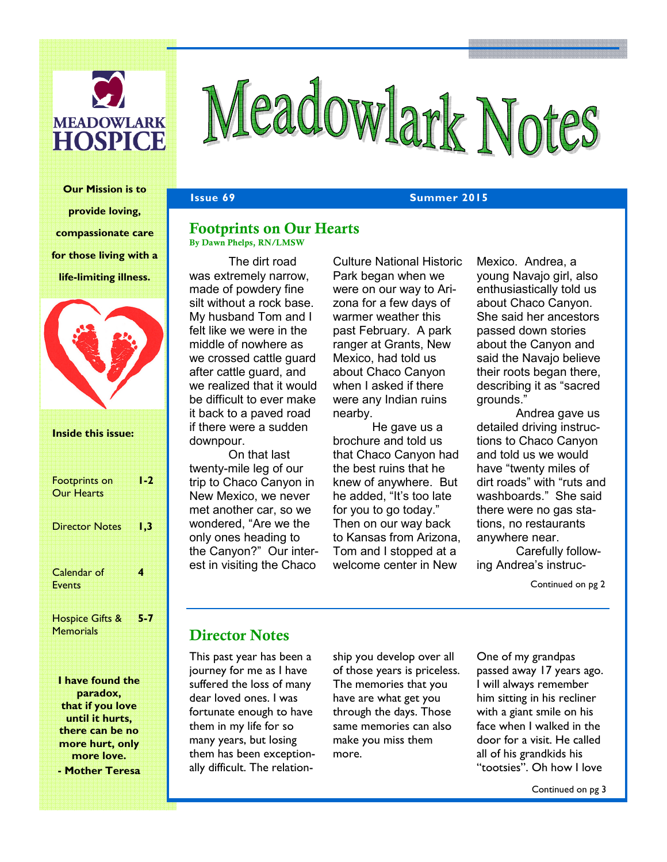

# Meadowlark Notes

Our Mission is to provide loving, compassionate care for those living with a life-limiting illness.



paradox, that if you love until it hurts, there can be no more hurt, only more love. - Mother Teresa

**Issue 69 Summer 2015** 

#### Footprints on Our Hearts By Dawn Phelps, RN/LMSW

 The dirt road was extremely narrow, made of powdery fine silt without a rock base. My husband Tom and I felt like we were in the middle of nowhere as we crossed cattle guard after cattle guard, and we realized that it would be difficult to ever make it back to a paved road if there were a sudden downpour.

On that last twenty-mile leg of our trip to Chaco Canyon in New Mexico, we never met another car, so we wondered, "Are we the only ones heading to the Canyon?" Our interest in visiting the Chaco

Culture National Historic Park began when we were on our way to Arizona for a few days of warmer weather this past February. A park ranger at Grants, New Mexico, had told us about Chaco Canyon when I asked if there were any Indian ruins nearby.

He gave us a brochure and told us that Chaco Canyon had the best ruins that he knew of anywhere. But he added, "It's too late for you to go today." Then on our way back to Kansas from Arizona, Tom and I stopped at a welcome center in New

Mexico. Andrea, a young Navajo girl, also enthusiastically told us about Chaco Canyon. She said her ancestors passed down stories about the Canyon and said the Navajo believe their roots began there, describing it as "sacred grounds."

Andrea gave us detailed driving instructions to Chaco Canyon and told us we would have "twenty miles of dirt roads" with "ruts and washboards." She said there were no gas stations, no restaurants anywhere near.

Carefully following Andrea's instruc-

Continued on pg 2

### Director Notes

This past year has been a journey for me as I have suffered the loss of many dear loved ones. I was fortunate enough to have them in my life for so many years, but losing them has been exceptionally difficult. The relation-

ship you develop over all of those years is priceless. The memories that you have are what get you through the days. Those same memories can also make you miss them more.

One of my grandpas passed away 17 years ago. I will always remember him sitting in his recliner with a giant smile on his face when I walked in the door for a visit. He called all of his grandkids his "tootsies". Oh how I love

Continued on pg 3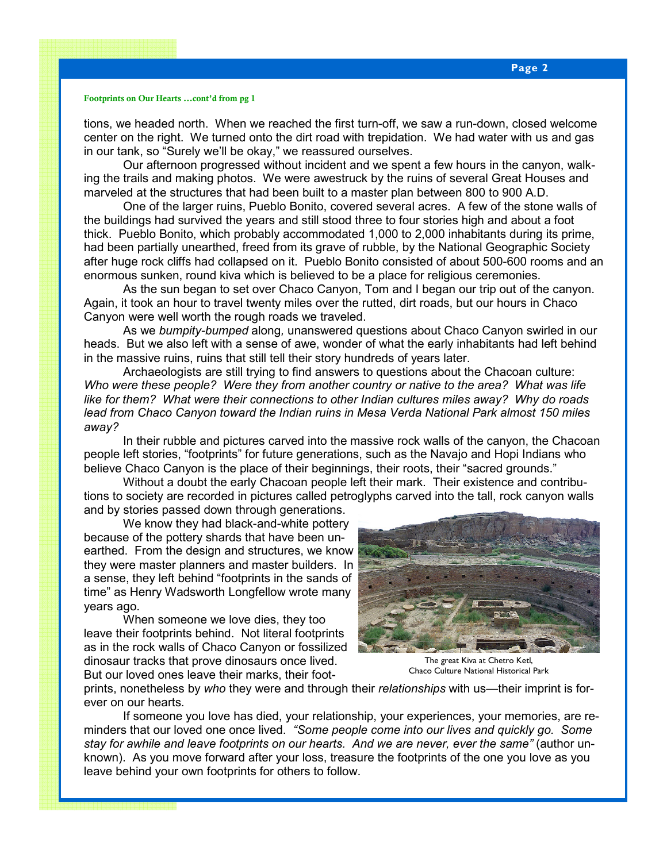#### Footprints on Our Hearts ...cont'd from pg 1

tions, we headed north. When we reached the first turn-off, we saw a run-down, closed welcome center on the right. We turned onto the dirt road with trepidation. We had water with us and gas in our tank, so "Surely we'll be okay," we reassured ourselves.

Our afternoon progressed without incident and we spent a few hours in the canyon, walking the trails and making photos. We were awestruck by the ruins of several Great Houses and marveled at the structures that had been built to a master plan between 800 to 900 A.D.

One of the larger ruins, Pueblo Bonito, covered several acres. A few of the stone walls of the buildings had survived the years and still stood three to four stories high and about a foot thick. Pueblo Bonito, which probably accommodated 1,000 to 2,000 inhabitants during its prime, had been partially unearthed, freed from its grave of rubble, by the National Geographic Society after huge rock cliffs had collapsed on it. Pueblo Bonito consisted of about 500-600 rooms and an enormous sunken, round kiva which is believed to be a place for religious ceremonies.

As the sun began to set over Chaco Canyon, Tom and I began our trip out of the canyon. Again, it took an hour to travel twenty miles over the rutted, dirt roads, but our hours in Chaco Canyon were well worth the rough roads we traveled.

As we bumpity-bumped along, unanswered questions about Chaco Canyon swirled in our heads. But we also left with a sense of awe, wonder of what the early inhabitants had left behind in the massive ruins, ruins that still tell their story hundreds of years later.

Archaeologists are still trying to find answers to questions about the Chacoan culture: Who were these people? Were they from another country or native to the area? What was life like for them? What were their connections to other Indian cultures miles away? Why do roads lead from Chaco Canyon toward the Indian ruins in Mesa Verda National Park almost 150 miles away?

In their rubble and pictures carved into the massive rock walls of the canyon, the Chacoan people left stories, "footprints" for future generations, such as the Navajo and Hopi Indians who believe Chaco Canyon is the place of their beginnings, their roots, their "sacred grounds."

Without a doubt the early Chacoan people left their mark. Their existence and contributions to society are recorded in pictures called petroglyphs carved into the tall, rock canyon walls and by stories passed down through generations.

We know they had black-and-white pottery because of the pottery shards that have been unearthed. From the design and structures, we know they were master planners and master builders. In a sense, they left behind "footprints in the sands of time" as Henry Wadsworth Longfellow wrote many years ago.

When someone we love dies, they too leave their footprints behind. Not literal footprints as in the rock walls of Chaco Canyon or fossilized dinosaur tracks that prove dinosaurs once lived. But our loved ones leave their marks, their foot-



The great Kiva at Chetro Ketl, Chaco Culture National Historical Park

prints, nonetheless by who they were and through their relationships with us—their imprint is forever on our hearts.

If someone you love has died, your relationship, your experiences, your memories, are reminders that our loved one once lived. "Some people come into our lives and quickly go. Some stay for awhile and leave footprints on our hearts. And we are never, ever the same" (author unknown). As you move forward after your loss, treasure the footprints of the one you love as you leave behind your own footprints for others to follow.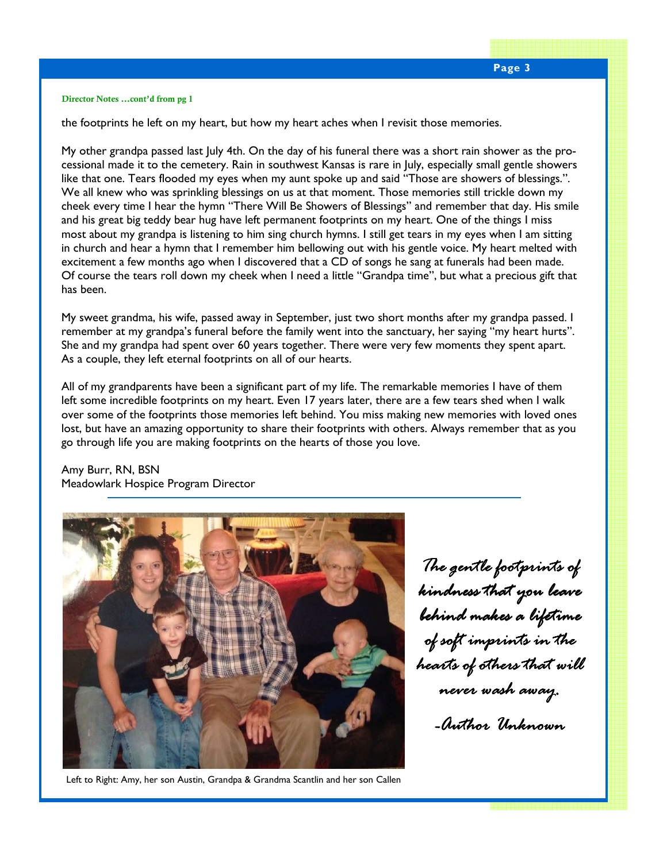#### Director Notes ...cont'd from pg 1

the footprints he left on my heart, but how my heart aches when I revisit those memories.

My other grandpa passed last July 4th. On the day of his funeral there was a short rain shower as the processional made it to the cemetery. Rain in southwest Kansas is rare in July, especially small gentle showers like that one. Tears flooded my eyes when my aunt spoke up and said "Those are showers of blessings.". We all knew who was sprinkling blessings on us at that moment. Those memories still trickle down my cheek every time I hear the hymn "There Will Be Showers of Blessings" and remember that day. His smile and his great big teddy bear hug have left permanent footprints on my heart. One of the things I miss most about my grandpa is listening to him sing church hymns. I still get tears in my eyes when I am sitting in church and hear a hymn that I remember him bellowing out with his gentle voice. My heart melted with excitement a few months ago when I discovered that a CD of songs he sang at funerals had been made. Of course the tears roll down my cheek when I need a little "Grandpa time", but what a precious gift that has been.

My sweet grandma, his wife, passed away in September, just two short months after my grandpa passed. I remember at my grandpa's funeral before the family went into the sanctuary, her saying "my heart hurts". She and my grandpa had spent over 60 years together. There were very few moments they spent apart. As a couple, they left eternal footprints on all of our hearts.

All of my grandparents have been a significant part of my life. The remarkable memories I have of them left some incredible footprints on my heart. Even 17 years later, there are a few tears shed when I walk over some of the footprints those memories left behind. You miss making new memories with loved ones lost, but have an amazing opportunity to share their footprints with others. Always remember that as you go through life you are making footprints on the hearts of those you love.

Amy Burr, RN, BSN Meadowlark Hospice Program Director



The gentle footprints of kindness that you leave behind makes a lifetime of soft imprints in the hearts of others that will never wash away. -Author Unknown

Left to Right: Amy, her son Austin, Grandpa & Grandma Scantlin and her son Callen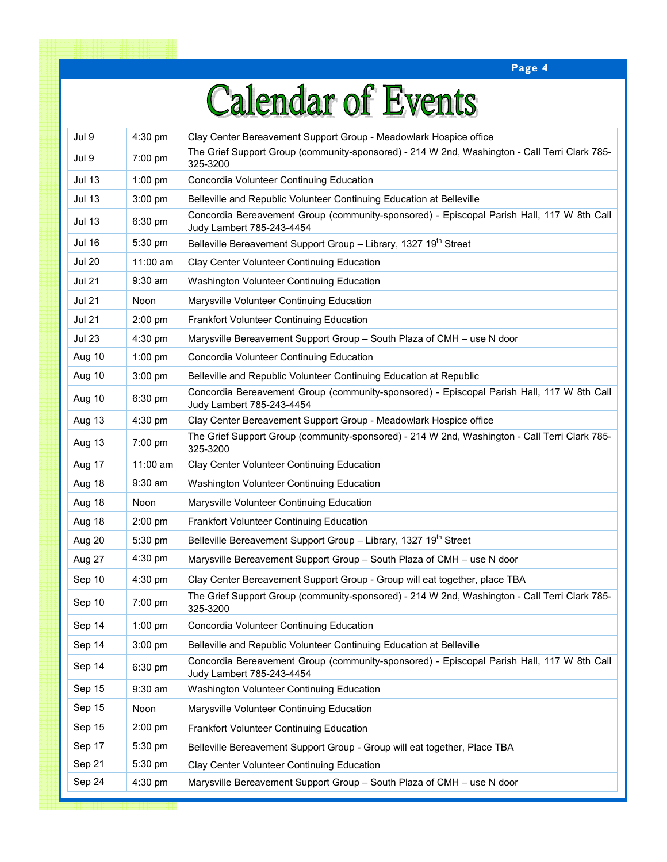Page 4

### **Calendar of Events**

| Jul 9         | 4:30 pm           | Clay Center Bereavement Support Group - Meadowlark Hospice office                                                      |
|---------------|-------------------|------------------------------------------------------------------------------------------------------------------------|
| Jul 9         | $7:00 \text{ pm}$ | The Grief Support Group (community-sponsored) - 214 W 2nd, Washington - Call Terri Clark 785-<br>325-3200              |
| <b>Jul 13</b> | $1:00$ pm         | Concordia Volunteer Continuing Education                                                                               |
| <b>Jul 13</b> | 3:00 pm           | Belleville and Republic Volunteer Continuing Education at Belleville                                                   |
| <b>Jul 13</b> | 6:30 pm           | Concordia Bereavement Group (community-sponsored) - Episcopal Parish Hall, 117 W 8th Call<br>Judy Lambert 785-243-4454 |
| <b>Jul 16</b> | 5:30 pm           | Belleville Bereavement Support Group - Library, 1327 19th Street                                                       |
| <b>Jul 20</b> | $11:00$ am        | Clay Center Volunteer Continuing Education                                                                             |
| <b>Jul 21</b> | 9:30 am           | Washington Volunteer Continuing Education                                                                              |
| <b>Jul 21</b> | Noon              | Marysville Volunteer Continuing Education                                                                              |
| <b>Jul 21</b> | 2:00 pm           | Frankfort Volunteer Continuing Education                                                                               |
| <b>Jul 23</b> | 4:30 pm           | Marysville Bereavement Support Group - South Plaza of CMH - use N door                                                 |
| Aug 10        | 1:00 pm           | Concordia Volunteer Continuing Education                                                                               |
| Aug 10        | $3:00$ pm         | Belleville and Republic Volunteer Continuing Education at Republic                                                     |
| Aug 10        | 6:30 pm           | Concordia Bereavement Group (community-sponsored) - Episcopal Parish Hall, 117 W 8th Call<br>Judy Lambert 785-243-4454 |
| Aug 13        | 4:30 pm           | Clay Center Bereavement Support Group - Meadowlark Hospice office                                                      |
| Aug 13        | $7:00 \text{ pm}$ | The Grief Support Group (community-sponsored) - 214 W 2nd, Washington - Call Terri Clark 785-<br>325-3200              |
| Aug 17        | $11:00$ am        | Clay Center Volunteer Continuing Education                                                                             |
| Aug 18        | $9:30$ am         | Washington Volunteer Continuing Education                                                                              |
| Aug 18        | Noon              | Marysville Volunteer Continuing Education                                                                              |
| Aug 18        | $2:00$ pm         | Frankfort Volunteer Continuing Education                                                                               |
| Aug 20        | 5:30 pm           | Belleville Bereavement Support Group - Library, 1327 19 <sup>th</sup> Street                                           |
| Aug 27        | $4:30$ pm         | Marysville Bereavement Support Group - South Plaza of CMH - use N door                                                 |
| Sep 10        | 4:30 pm           | Clay Center Bereavement Support Group - Group will eat together, place TBA                                             |
| Sep 10        | 7:00 pm           | The Grief Support Group (community-sponsored) - 214 W 2nd, Washington - Call Terri Clark 785-<br>325-3200              |
| Sep 14        | $1:00$ pm         | Concordia Volunteer Continuing Education                                                                               |
| Sep 14        | $3:00$ pm         | Belleville and Republic Volunteer Continuing Education at Belleville                                                   |
| Sep 14        | 6:30 pm           | Concordia Bereavement Group (community-sponsored) - Episcopal Parish Hall, 117 W 8th Call<br>Judy Lambert 785-243-4454 |
| Sep 15        | $9:30$ am         | Washington Volunteer Continuing Education                                                                              |
| Sep 15        | Noon              | Marysville Volunteer Continuing Education                                                                              |
| Sep 15        | 2:00 pm           | Frankfort Volunteer Continuing Education                                                                               |
| Sep 17        | 5:30 pm           | Belleville Bereavement Support Group - Group will eat together, Place TBA                                              |
| Sep 21        | $5:30$ pm         | Clay Center Volunteer Continuing Education                                                                             |
| Sep 24        | 4:30 pm           | Marysville Bereavement Support Group - South Plaza of CMH - use N door                                                 |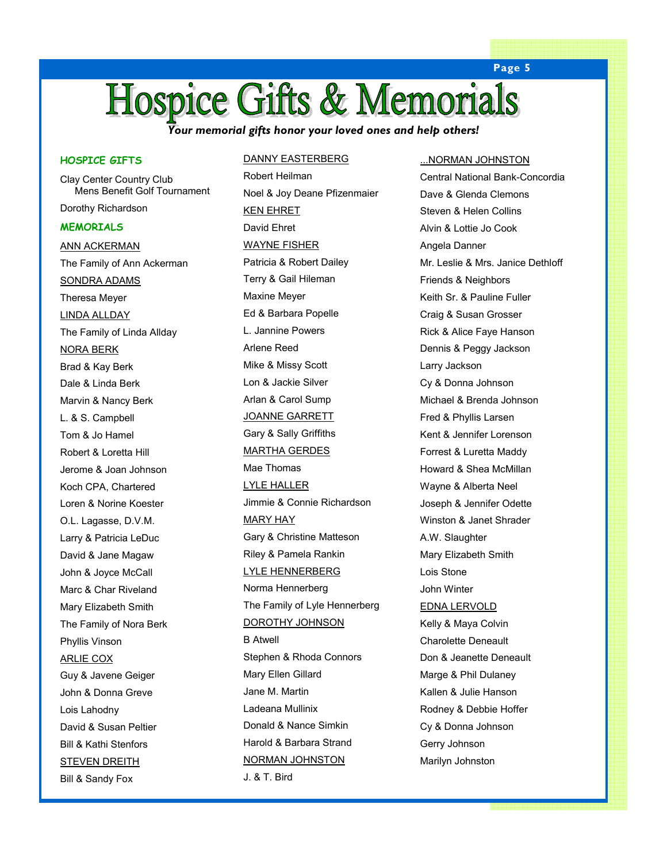### **Hospice Gifts & Memorials**

Your memorial gifts honor your loved ones and help others!

#### HOSPICE GIFTS

Clay Center Country Club Mens Benefit Golf Tournament Dorothy Richardson **MEMORIALS** ANN ACKERMAN The Family of Ann Ackerman SONDRA ADAMS Theresa Meyer LINDA ALLDAY The Family of Linda Allday NORA BERK Brad & Kay Berk Dale & Linda Berk Marvin & Nancy Berk L. & S. Campbell Tom & Jo Hamel Robert & Loretta Hill Jerome & Joan Johnson Koch CPA, Chartered Loren & Norine Koester O.L. Lagasse, D.V.M. Larry & Patricia LeDuc David & Jane Magaw John & Joyce McCall Marc & Char Riveland Mary Elizabeth Smith The Family of Nora Berk Phyllis Vinson ARLIE COX Guy & Javene Geiger John & Donna Greve Lois Lahodny David & Susan Peltier Bill & Kathi Stenfors

STEVEN DREITH Bill & Sandy Fox

#### DANNY EASTERBERG

Robert Heilman Noel & Joy Deane Pfizenmaier KEN EHRET David Ehret WAYNE FISHER Patricia & Robert Dailey Terry & Gail Hileman Maxine Meyer Ed & Barbara Popelle L. Jannine Powers Arlene Reed Mike & Missy Scott Lon & Jackie Silver Arlan & Carol Sump JOANNE GARRETT Gary & Sally Griffiths MARTHA GERDES Mae Thomas LYLE HALLER Jimmie & Connie Richardson MARY HAY Gary & Christine Matteson Riley & Pamela Rankin LYLE HENNERBERG Norma Hennerberg The Family of Lyle Hennerberg DOROTHY JOHNSON B Atwell Stephen & Rhoda Connors Mary Ellen Gillard Jane M. Martin Ladeana Mullinix Donald & Nance Simkin Harold & Barbara Strand NORMAN JOHNSTON J. & T. Bird

#### ...NORMAN JOHNSTON

Central National Bank-Concordia Dave & Glenda Clemons Steven & Helen Collins Alvin & Lottie Jo Cook Angela Danner Mr. Leslie & Mrs. Janice Dethloff Friends & Neighbors Keith Sr. & Pauline Fuller Craig & Susan Grosser Rick & Alice Faye Hanson Dennis & Peggy Jackson Larry Jackson Cy & Donna Johnson Michael & Brenda Johnson Fred & Phyllis Larsen Kent & Jennifer Lorenson Forrest & Luretta Maddy Howard & Shea McMillan Wayne & Alberta Neel Joseph & Jennifer Odette Winston & Janet Shrader A.W. Slaughter Mary Elizabeth Smith Lois Stone John Winter EDNA LERVOLD Kelly & Maya Colvin Charolette Deneault Don & Jeanette Deneault Marge & Phil Dulaney Kallen & Julie Hanson Rodney & Debbie Hoffer Cy & Donna Johnson Gerry Johnson Marilyn Johnston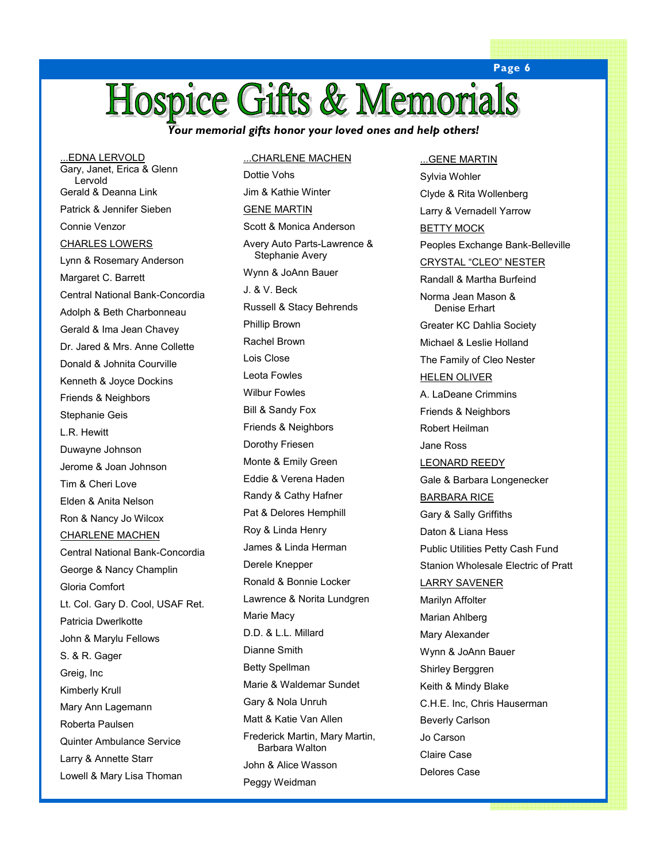### **Hospice Gifts & Memorials**

Your memorial gifts honor your loved ones and help others!

...EDNA LERVOLD Gary, Janet, Erica & Glenn Lervold Gerald & Deanna Link Patrick & Jennifer Sieben Connie Venzor CHARLES LOWERS Lynn & Rosemary Anderson Margaret C. Barrett Central National Bank-Concordia Adolph & Beth Charbonneau Gerald & Ima Jean Chavey Dr. Jared & Mrs. Anne Collette Donald & Johnita Courville Kenneth & Joyce Dockins Friends & Neighbors Stephanie Geis L.R. Hewitt Duwayne Johnson Jerome & Joan Johnson Tim & Cheri Love Elden & Anita Nelson Ron & Nancy Jo Wilcox CHARLENE MACHEN Central National Bank-Concordia George & Nancy Champlin Gloria Comfort Lt. Col. Gary D. Cool, USAF Ret. Patricia Dwerlkotte John & Marylu Fellows S. & R. Gager Greig, Inc Kimberly Krull Mary Ann Lagemann Roberta Paulsen Quinter Ambulance Service Larry & Annette Starr Lowell & Mary Lisa Thoman

#### ...CHARLENE MACHEN

Dottie Vohs Jim & Kathie Winter GENE MARTIN Scott & Monica Anderson Avery Auto Parts-Lawrence & Stephanie Avery Wynn & JoAnn Bauer J. & V. Beck Russell & Stacy Behrends Phillip Brown Rachel Brown Lois Close Leota Fowles Wilbur Fowles Bill & Sandy Fox Friends & Neighbors Dorothy Friesen Monte & Emily Green Eddie & Verena Haden Randy & Cathy Hafner Pat & Delores Hemphill Roy & Linda Henry James & Linda Herman Derele Knepper Ronald & Bonnie Locker Lawrence & Norita Lundgren Marie Macy D.D. & L.L. Millard Dianne Smith Betty Spellman Marie & Waldemar Sundet Gary & Nola Unruh Matt & Katie Van Allen Frederick Martin, Mary Martin, Barbara Walton John & Alice Wasson Peggy Weidman

...GENE MARTIN

Sylvia Wohler Clyde & Rita Wollenberg Larry & Vernadell Yarrow **BETTY MOCK** Peoples Exchange Bank-Belleville CRYSTAL "CLEO" NESTER Randall & Martha Burfeind Norma Jean Mason & Denise Erhart Greater KC Dahlia Society Michael & Leslie Holland The Family of Cleo Nester HELEN OLIVER A. LaDeane Crimmins Friends & Neighbors Robert Heilman Jane Ross LEONARD REEDY Gale & Barbara Longenecker BARBARA RICE Gary & Sally Griffiths Daton & Liana Hess Public Utilities Petty Cash Fund Stanion Wholesale Electric of Pratt LARRY SAVENER Marilyn Affolter Marian Ahlberg Mary Alexander Wynn & JoAnn Bauer Shirley Berggren Keith & Mindy Blake C.H.E. Inc, Chris Hauserman Beverly Carlson Jo Carson Claire Case Delores Case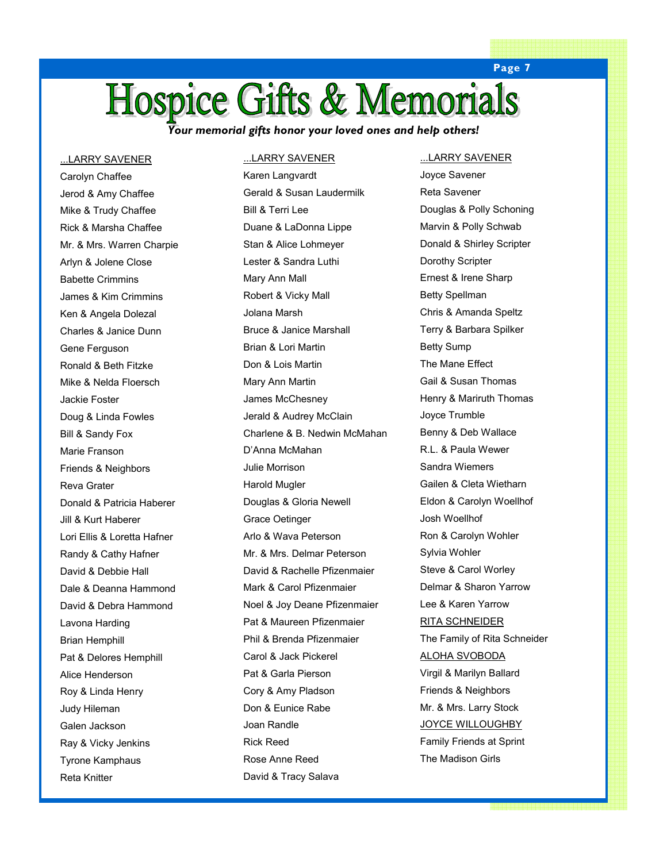## Hospice Gifts & Memorials

Your memorial gifts honor your loved ones and help others!

...LARRY SAVENER Carolyn Chaffee Jerod & Amy Chaffee Mike & Trudy Chaffee Rick & Marsha Chaffee Mr. & Mrs. Warren Charpie Arlyn & Jolene Close Babette Crimmins James & Kim Crimmins Ken & Angela Dolezal Charles & Janice Dunn Gene Ferguson Ronald & Beth Fitzke Mike & Nelda Floersch Jackie Foster Doug & Linda Fowles Bill & Sandy Fox Marie Franson Friends & Neighbors Reva Grater Donald & Patricia Haberer Jill & Kurt Haberer Lori Ellis & Loretta Hafner Randy & Cathy Hafner David & Debbie Hall Dale & Deanna Hammond David & Debra Hammond Lavona Harding Brian Hemphill Pat & Delores Hemphill Alice Henderson Roy & Linda Henry Judy Hileman Galen Jackson Ray & Vicky Jenkins Tyrone Kamphaus Reta Knitter

#### ...LARRY SAVENER

Karen Langvardt Gerald & Susan Laudermilk Bill & Terri Lee Duane & LaDonna Lippe Stan & Alice Lohmeyer Lester & Sandra Luthi Mary Ann Mall Robert & Vicky Mall Jolana Marsh Bruce & Janice Marshall Brian & Lori Martin Don & Lois Martin Mary Ann Martin James McChesney Jerald & Audrey McClain Charlene & B. Nedwin McMahan D'Anna McMahan Julie Morrison Harold Mugler Douglas & Gloria Newell Grace Oetinger Arlo & Wava Peterson Mr. & Mrs. Delmar Peterson David & Rachelle Pfizenmaier Mark & Carol Pfizenmaier Noel & Joy Deane Pfizenmaier Pat & Maureen Pfizenmaier Phil & Brenda Pfizenmaier Carol & Jack Pickerel Pat & Garla Pierson Cory & Amy Pladson Don & Eunice Rabe Joan Randle Rick Reed Rose Anne Reed David & Tracy Salava

#### ...LARRY SAVENER

Joyce Savener Reta Savener Douglas & Polly Schoning Marvin & Polly Schwab Donald & Shirley Scripter Dorothy Scripter Ernest & Irene Sharp Betty Spellman Chris & Amanda Speltz Terry & Barbara Spilker Betty Sump The Mane Effect Gail & Susan Thomas Henry & Mariruth Thomas Joyce Trumble Benny & Deb Wallace R.L. & Paula Wewer Sandra Wiemers Gailen & Cleta Wietharn Eldon & Carolyn Woellhof Josh Woellhof Ron & Carolyn Wohler Sylvia Wohler Steve & Carol Worley Delmar & Sharon Yarrow Lee & Karen Yarrow RITA SCHNEIDER The Family of Rita Schneider ALOHA SVOBODA Virgil & Marilyn Ballard Friends & Neighbors Mr. & Mrs. Larry Stock **JOYCE WILLOUGHBY** Family Friends at Sprint The Madison Girls